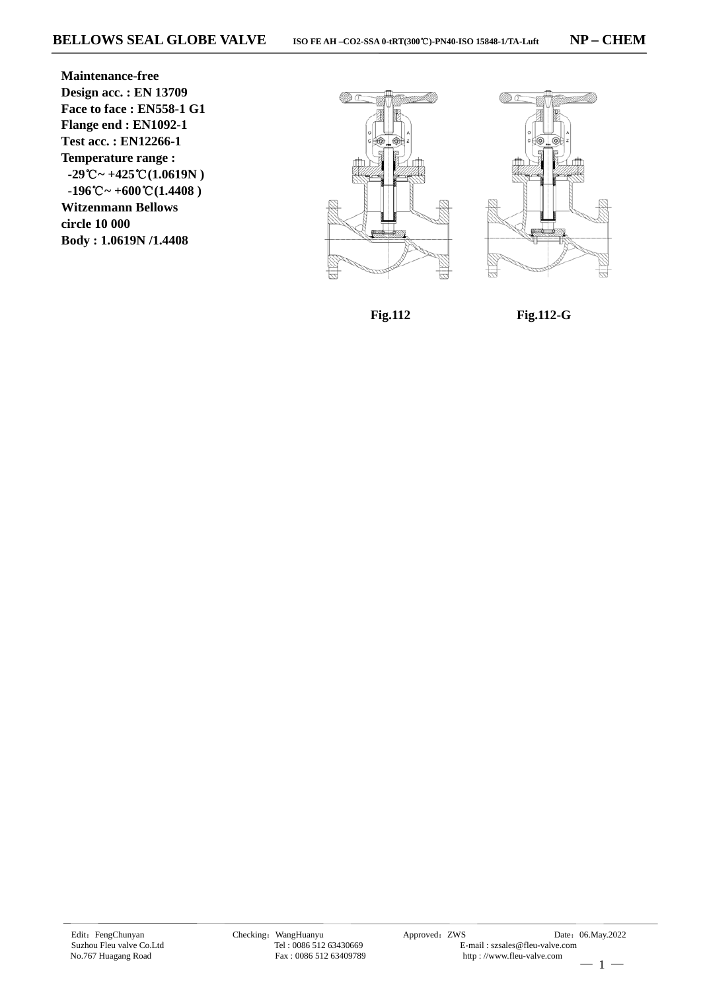**Maintenance-free Design acc. : EN 13709 Face to face : EN558-1 G1 Flange end : EN1092-1 Test acc. : EN12266-1 Temperature range :**  $-29^{\circ}\text{C} \sim +425^{\circ}\text{C}(1.0619\text{N})$  $-196^{\circ}\text{C} \sim +600^{\circ}\text{C} (1.4408)$ **Witzenmann Bellows circle 10 000 Body : 1.0619N /1.4408**





**Fig.112** 

**Fig.112-G**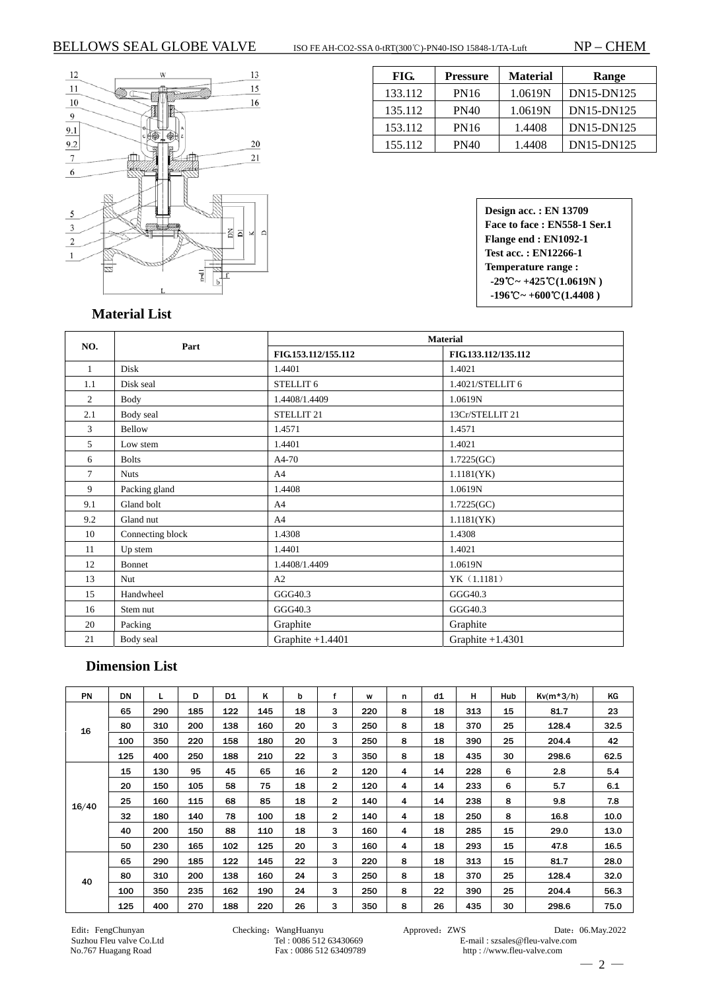

| FIG.    | Pressure    | <b>Material</b> | <b>Range</b> |
|---------|-------------|-----------------|--------------|
| 133.112 | <b>PN16</b> | 1.0619N         | DN15-DN125   |
| 135.112 | <b>PN40</b> | 1.0619N         | DN15-DN125   |
| 153.112 | <b>PN16</b> | 1.4408          | DN15-DN125   |
| 155.112 | PN40        | 1.4408          | DN15-DN125   |

**Design acc. : EN 13709 Face to face : EN558-1 Ser.1 Flange end : EN1092-1 Test acc. : EN12266-1 Temperature range :**  $-29^{\circ}\text{C} \sim +425^{\circ}\text{C} (1.0619\text{N})$  $-196^{\circ}\text{C} \sim +600^{\circ}\text{C} (1.4408)$ 

 **Material List** 

|                |                  | <b>Material</b>       |                     |  |  |  |  |  |
|----------------|------------------|-----------------------|---------------------|--|--|--|--|--|
| NO.            | Part             | FIG.153.112/155.112   | FIG.133.112/135.112 |  |  |  |  |  |
| 1              | Disk             | 1.4401                | 1.4021              |  |  |  |  |  |
| 1.1            | Disk seal        | STELLIT 6             | 1.4021/STELLIT 6    |  |  |  |  |  |
| $\overline{c}$ | Body             | 1.4408/1.4409         | 1.0619N             |  |  |  |  |  |
| 2.1            | Body seal        | STELLIT <sub>21</sub> | 13Cr/STELLIT 21     |  |  |  |  |  |
| 3              | Bellow           | 1.4571                | 1.4571              |  |  |  |  |  |
| 5              | Low stem         | 1.4401                | 1.4021              |  |  |  |  |  |
| 6              | <b>Bolts</b>     | A4-70                 | 1.7225(GC)          |  |  |  |  |  |
| 7              | <b>Nuts</b>      | A <sup>4</sup>        | 1.1181(YK)          |  |  |  |  |  |
| 9              | Packing gland    | 1.4408                | 1.0619N             |  |  |  |  |  |
| 9.1            | Gland bolt       | A <sub>4</sub>        | 1.7225(GC)          |  |  |  |  |  |
| 9.2            | Gland nut        | A <sub>4</sub>        | 1.1181(YK)          |  |  |  |  |  |
| 10             | Connecting block | 1.4308                | 1.4308              |  |  |  |  |  |
| 11             | Up stem          | 1.4401                | 1.4021              |  |  |  |  |  |
| 12             | Bonnet           | 1.4408/1.4409         | 1.0619N             |  |  |  |  |  |
| 13             | Nut              | A2                    | YK (1.1181)         |  |  |  |  |  |
| 15             | Handwheel        | GGG40.3               | GGG40.3             |  |  |  |  |  |
| 16             | Stem nut         | GGG40.3               | GGG40.3             |  |  |  |  |  |
| 20             | Packing          | Graphite              | Graphite            |  |  |  |  |  |
| 21             | Body seal        | Graphite $+1.4401$    | Graphite $+1.4301$  |  |  |  |  |  |

## **Dimension List**

| <b>PN</b> | DN  |     | D   | D <sub>1</sub> | ĸ   | b  | f            | W   | n | d1 | н   | Hub | $Kv(m*3/h)$ | KG   |
|-----------|-----|-----|-----|----------------|-----|----|--------------|-----|---|----|-----|-----|-------------|------|
| 16        | 65  | 290 | 185 | 122            | 145 | 18 | 3            | 220 | 8 | 18 | 313 | 15  | 81.7        | 23   |
|           | 80  | 310 | 200 | 138            | 160 | 20 | 3            | 250 | 8 | 18 | 370 | 25  | 128.4       | 32.5 |
|           | 100 | 350 | 220 | 158            | 180 | 20 | 3            | 250 | 8 | 18 | 390 | 25  | 204.4       | 42   |
|           | 125 | 400 | 250 | 188            | 210 | 22 | 3            | 350 | 8 | 18 | 435 | 30  | 298.6       | 62.5 |
| 16/40     | 15  | 130 | 95  | 45             | 65  | 16 | $\mathbf{2}$ | 120 | 4 | 14 | 228 | 6   | 2.8         | 5.4  |
|           | 20  | 150 | 105 | 58             | 75  | 18 | $\mathbf{2}$ | 120 | 4 | 14 | 233 | 6   | 5.7         | 6.1  |
|           | 25  | 160 | 115 | 68             | 85  | 18 | $\mathbf{2}$ | 140 | 4 | 14 | 238 | 8   | 9.8         | 7.8  |
|           | 32  | 180 | 140 | 78             | 100 | 18 | $\mathbf{2}$ | 140 | 4 | 18 | 250 | 8   | 16.8        | 10.0 |
|           | 40  | 200 | 150 | 88             | 110 | 18 | 3            | 160 | 4 | 18 | 285 | 15  | 29.0        | 13.0 |
|           | 50  | 230 | 165 | 102            | 125 | 20 | 3            | 160 | 4 | 18 | 293 | 15  | 47.8        | 16.5 |
| 40        | 65  | 290 | 185 | 122            | 145 | 22 | 3            | 220 | 8 | 18 | 313 | 15  | 81.7        | 28.0 |
|           | 80  | 310 | 200 | 138            | 160 | 24 | 3            | 250 | 8 | 18 | 370 | 25  | 128.4       | 32.0 |
|           | 100 | 350 | 235 | 162            | 190 | 24 | 3            | 250 | 8 | 22 | 390 | 25  | 204.4       | 56.3 |
|           | 125 | 400 | 270 | 188            | 220 | 26 | 3            | 350 | 8 | 26 | 435 | 30  | 298.6       | 75.0 |

Fax : 0086 512 63409789

Edit: FengChunyan Checking: WangHuanyu Approved: ZWS Date: 06.May.2022<br>Suzhou Fleu valve Co.Ltd Tel: 0086 512 63430669 E-mail: szsales@fleu-valve.com Suzhou Fleu valve Co.Ltd Tel : 0086 512 63430669 E-mail : szsales@fleu-valve.com<br>No.767 Huagang Road Fax : 0086 512 63409789 http://www.fleu-valve.com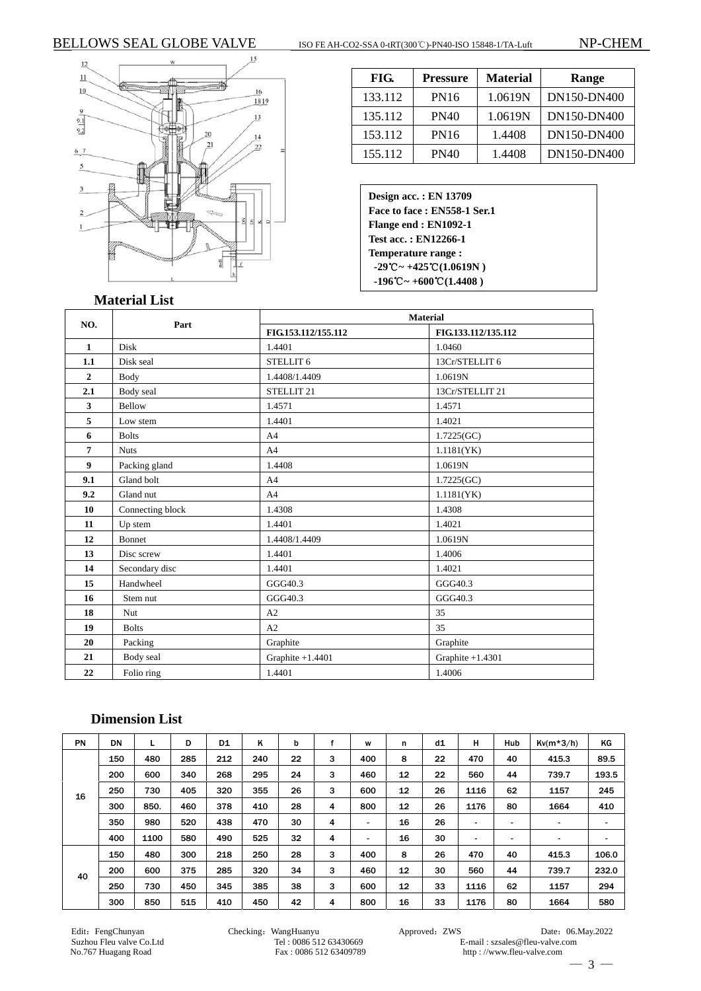### BELLOWS SEAL GLOBE VALVE ISO FE AH-CO2-SSA 0-tRT(300℃)-PN40-ISO 15848-1/TA-Luft NP-CHEM



| FIG.    | Pressure | <b>Material</b> | Range       |
|---------|----------|-----------------|-------------|
| 133.112 | PN16     | 1.0619N         | DN150-DN400 |
| 135.112 | PN40     | 1.0619N         | DN150-DN400 |
| 153.112 | PN16     | 1.4408          | DN150-DN400 |
| 155.112 | PN40     | 1.4408          | DN150-DN400 |

**Design acc. : EN 13709 Face to face : EN558-1 Ser.1 Flange end : EN1092-1 Test acc. : EN12266-1 Temperature range :**   $-29$ °C ~  $+425$ °C(1.0619N) **-196 ~ +** ℃ **600**℃**(1.4408 )**

#### **Material List**

|                |                  | <b>Material</b>       |                     |  |  |  |  |  |
|----------------|------------------|-----------------------|---------------------|--|--|--|--|--|
| NO.            | Part             | FIG.153.112/155.112   | FIG.133.112/135.112 |  |  |  |  |  |
| $\mathbf{1}$   | <b>Disk</b>      | 1.4401                | 1.0460              |  |  |  |  |  |
| 1.1            | Disk seal        | STELLIT <sub>6</sub>  | 13Cr/STELLIT 6      |  |  |  |  |  |
| $\overline{2}$ | Body             | 1.4408/1.4409         | 1.0619N             |  |  |  |  |  |
| 2.1            | Body seal        | STELLIT <sub>21</sub> | 13Cr/STELLIT 21     |  |  |  |  |  |
| 3              | Bellow           | 1.4571                | 1.4571              |  |  |  |  |  |
| 5              | Low stem         | 1.4401                | 1.4021              |  |  |  |  |  |
| 6              | <b>Bolts</b>     | A <sub>4</sub>        | 1.7225(GC)          |  |  |  |  |  |
| 7              | <b>Nuts</b>      | A <sub>4</sub>        | 1.1181(YK)          |  |  |  |  |  |
| 9              | Packing gland    | 1.4408                | 1.0619N             |  |  |  |  |  |
| 9.1            | Gland bolt       | A4                    | 1.7225(GC)          |  |  |  |  |  |
| 9.2            | Gland nut        | A <sub>4</sub>        | 1.1181(YK)          |  |  |  |  |  |
| 10             | Connecting block | 1.4308                | 1.4308              |  |  |  |  |  |
| 11             | Up stem          | 1.4401                | 1.4021              |  |  |  |  |  |
| 12             | Bonnet           | 1.4408/1.4409         | 1.0619N             |  |  |  |  |  |
| 13             | Disc screw       | 1.4401                | 1.4006              |  |  |  |  |  |
| 14             | Secondary disc   | 1.4401                | 1.4021              |  |  |  |  |  |
| 15             | Handwheel        | GGG40.3               | GGG40.3             |  |  |  |  |  |
| 16             | Stem nut         | GGG40.3               | GGG40.3             |  |  |  |  |  |
| 18             | <b>Nut</b>       | A2                    | 35                  |  |  |  |  |  |
| 19             | <b>Bolts</b>     | A2                    | 35                  |  |  |  |  |  |
| 20             | Packing          | Graphite              | Graphite            |  |  |  |  |  |
| 21             | Body seal        | Graphite +1.4401      | Graphite +1.4301    |  |  |  |  |  |
| 22             | Folio ring       | 1.4401                | 1.4006              |  |  |  |  |  |

## **Dimension List**

| <b>PN</b> | DN  |      | D   | D1  | ĸ   | b  |   | W              | n  | d1 | н    | <b>Hub</b> | $Kv(m*3/h)$    | ΚG    |
|-----------|-----|------|-----|-----|-----|----|---|----------------|----|----|------|------------|----------------|-------|
| 16        | 150 | 480  | 285 | 212 | 240 | 22 | з | 400            | 8  | 22 | 470  | 40         | 415.3          | 89.5  |
|           | 200 | 600  | 340 | 268 | 295 | 24 | 3 | 460            | 12 | 22 | 560  | 44         | 739.7          | 193.5 |
|           | 250 | 730  | 405 | 320 | 355 | 26 | 3 | 600            | 12 | 26 | 1116 | 62         | 1157           | 245   |
|           | 300 | 850. | 460 | 378 | 410 | 28 | 4 | 800            | 12 | 26 | 1176 | 80         | 1664           | 410   |
|           | 350 | 980  | 520 | 438 | 470 | 30 | 4 | $\blacksquare$ | 16 | 26 | ٠    | ٠          | $\blacksquare$ | ۰     |
|           | 400 | 1100 | 580 | 490 | 525 | 32 | 4 | $\blacksquare$ | 16 | 30 | -    | -          | ۰              | ۰     |
| 40        | 150 | 480  | 300 | 218 | 250 | 28 | 3 | 400            | 8  | 26 | 470  | 40         | 415.3          | 106.0 |
|           | 200 | 600  | 375 | 285 | 320 | 34 | 3 | 460            | 12 | 30 | 560  | 44         | 739.7          | 232.0 |
|           | 250 | 730  | 450 | 345 | 385 | 38 | 3 | 600            | 12 | 33 | 1116 | 62         | 1157           | 294   |
|           | 300 | 850  | 515 | 410 | 450 | 42 | 4 | 800            | 16 | 33 | 1176 | 80         | 1664           | 580   |

Edit: FengChunyan Date: 06.May.2022<br>Suzhou Fleu valve Co.Ltd Tel: 0086 512 63430669 B-mail: szsales@fleu-valve.com Suzhou Fleu valve Co.Ltd Tel : 0086 512 63430669 E-mail : szsales@fleu-valve.com<br>No.767 Huagang Road Fax : 0086 512 63409789 http : //www.fleu-valve.com http : //www.fleu-valve.com